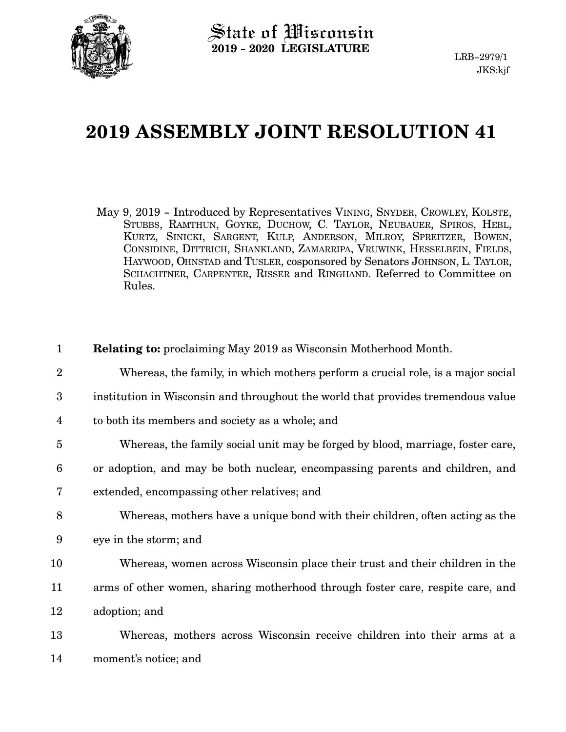

## **2019 ASSEMBLY JOINT RESOLUTION 41**

May 9, 2019 - Introduced by Representatives VINING, SNYDER, CROWLEY, KOLSTE, STUBBS, RAMTHUN, GOYKE, DUCHOW, C. TAYLOR, NEUBAUER, SPIROS, HEBL, KURTZ, SINICKI, SARGENT, KULP, ANDERSON, MILROY, SPREITZER, BOWEN, CONSIDINE, DITTRICH, SHANKLAND, ZAMARRIPA, VRUWINK, HESSELBEIN, FIELDS, HAYWOOD, OHNSTAD and TUSLER, cosponsored by Senators JOHNSON, L. TAYLOR, SCHACHTNER, CARPENTER, RISSER and RINGHAND. Referred to Committee on Rules.

| $\mathbf{1}$    | <b>Relating to:</b> proclaiming May 2019 as Wisconsin Motherhood Month.          |
|-----------------|----------------------------------------------------------------------------------|
| $\overline{2}$  | Whereas, the family, in which mothers perform a crucial role, is a major social  |
| 3               | institution in Wisconsin and throughout the world that provides tremendous value |
| 4               | to both its members and society as a whole; and                                  |
| $\overline{5}$  | Whereas, the family social unit may be forged by blood, marriage, foster care,   |
| $6\phantom{1}6$ | or adoption, and may be both nuclear, encompassing parents and children, and     |
| 7               | extended, encompassing other relatives; and                                      |
| 8               | Whereas, mothers have a unique bond with their children, often acting as the     |
| 9               | eye in the storm; and                                                            |
| 10              | Whereas, women across Wisconsin place their trust and their children in the      |
| 11              | arms of other women, sharing motherhood through foster care, respite care, and   |
| 12              | adoption; and                                                                    |
| 13              | Whereas, mothers across Wisconsin receive children into their arms at a          |
| 14              | moment's notice; and                                                             |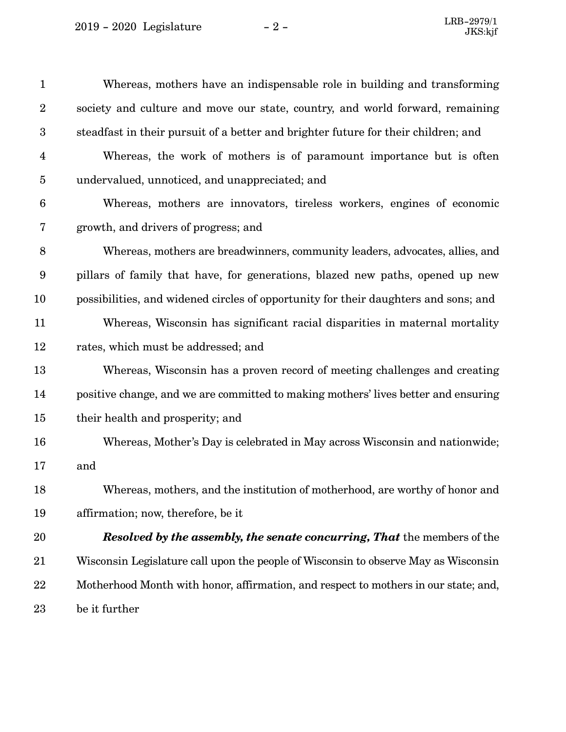2019 - 2020 Legislature

| $\mathbf{1}$     | Whereas, mothers have an indispensable role in building and transforming            |
|------------------|-------------------------------------------------------------------------------------|
| $\boldsymbol{2}$ | society and culture and move our state, country, and world forward, remaining       |
| $\boldsymbol{3}$ | steadfast in their pursuit of a better and brighter future for their children; and  |
| $\overline{4}$   | Whereas, the work of mothers is of paramount importance but is often                |
| $\overline{5}$   | undervalued, unnoticed, and unappreciated; and                                      |
| $\boldsymbol{6}$ | Whereas, mothers are innovators, tireless workers, engines of economic              |
| 7                | growth, and drivers of progress; and                                                |
| $8\,$            | Whereas, mothers are breadwinners, community leaders, advocates, allies, and        |
| $\boldsymbol{9}$ | pillars of family that have, for generations, blazed new paths, opened up new       |
| 10               | possibilities, and widened circles of opportunity for their daughters and sons; and |
| 11               | Whereas, Wisconsin has significant racial disparities in maternal mortality         |
| 12               | rates, which must be addressed; and                                                 |
| 13               | Whereas, Wisconsin has a proven record of meeting challenges and creating           |
| 14               | positive change, and we are committed to making mothers' lives better and ensuring  |
| 15               | their health and prosperity; and                                                    |
| 16               | Whereas, Mother's Day is celebrated in May across Wisconsin and nationwide;         |
| 17               | and                                                                                 |
| 18               | Whereas, mothers, and the institution of motherhood, are worthy of honor and        |
| 19               | affirmation; now, therefore, be it                                                  |
| 20               | <b>Resolved by the assembly, the senate concurring, That the members of the</b>     |
| 21               | Wisconsin Legislature call upon the people of Wisconsin to observe May as Wisconsin |
| 22               | Motherhood Month with honor, affirmation, and respect to mothers in our state; and, |
| 23               | be it further                                                                       |